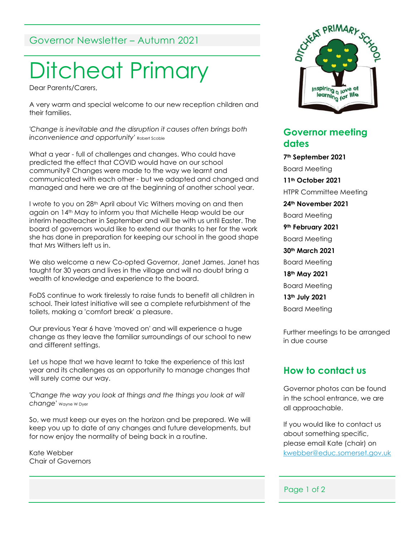## Governor Newsletter – Autumn 2021

# Ditcheat Primary

Dear Parents/Carers,

A very warm and special welcome to our new reception children and their families.

*'Change is inevitable and the disruption it causes often brings both inconvenience and opportunity'* Robert Scoble

What a year - full of challenges and changes. Who could have predicted the effect that COVID would have on our school community? Changes were made to the way we learnt and communicated with each other - but we adapted and changed and managed and here we are at the beginning of another school year.

I wrote to you on 28<sup>th</sup> April about Vic Withers moving on and then again on 14th May to inform you that Michelle Heap would be our interim headteacher in September and will be with us until Easter. The board of governors would like to extend our thanks to her for the work she has done in preparation for keeping our school in the good shape that Mrs Withers left us in.

We also welcome a new Co-opted Governor, Janet James. Janet has taught for 30 years and lives in the village and will no doubt bring a wealth of knowledge and experience to the board.

FoDS continue to work tirelessly to raise funds to benefit all children in school. Their latest initiative will see a complete refurbishment of the toilets, making a 'comfort break' a pleasure.

Our previous Year 6 have 'moved on' and will experience a huge change as they leave the familiar surroundings of our school to new and different settings.

Let us hope that we have learnt to take the experience of this last year and its challenges as an opportunity to manage changes that will surely come our way.

*'Change the way you look at things and the things you look at will change'* Wayne W Dyer

So, we must keep our eyes on the horizon and be prepared. We will keep you up to date of any changes and future developments, but for now enjoy the normality of being back in a routine.

Kate Webber Chair of Governors



### **Governor meeting dates**

**7th September 2021** Board Meeting **11th October 2021** HTPR Committee Meeting **24th November 2021** Board Meeting **9th February 2021** Board Meeting **30th March 2021** Board Meeting **18th May 2021** Board Meeting **13th July 2021** Board Meeting

Further meetings to be arranged in due course

#### **How to contact us**

Governor photos can be found in the school entrance, we are all approachable.

If you would like to contact us about something specific, please email Kate (chair) on [kwebber@educ.somerset.gov.uk](mailto:kwebber@educ.somerset.gov.uk)

#### Page 1 of 2 i ago i i

Ditcheat

BA4 6RB